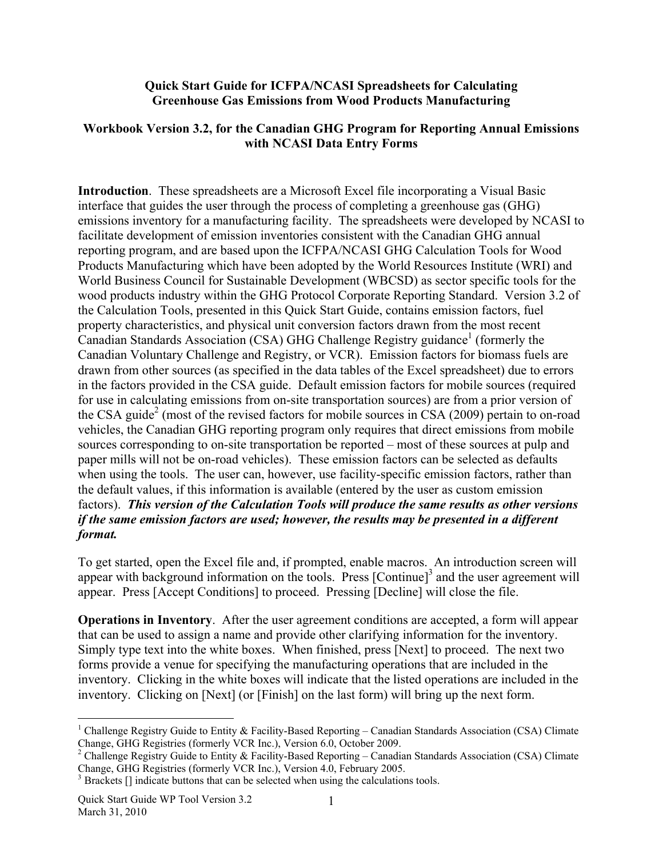## **Quick Start Guide for ICFPA/NCASI Spreadsheets for Calculating Greenhouse Gas Emissions from Wood Products Manufacturing**

## **Workbook Version 3.2, for the Canadian GHG Program for Reporting Annual Emissions with NCASI Data Entry Forms**

**Introduction**. These spreadsheets are a Microsoft Excel file incorporating a Visual Basic interface that guides the user through the process of completing a greenhouse gas (GHG) emissions inventory for a manufacturing facility. The spreadsheets were developed by NCASI to facilitate development of emission inventories consistent with the Canadian GHG annual reporting program, and are based upon the ICFPA/NCASI GHG Calculation Tools for Wood Products Manufacturing which have been adopted by the World Resources Institute (WRI) and World Business Council for Sustainable Development (WBCSD) as sector specific tools for the wood products industry within the GHG Protocol Corporate Reporting Standard. Version 3.2 of the Calculation Tools, presented in this Quick Start Guide, contains emission factors, fuel property characteristics, and physical unit conversion factors drawn from the most recent Canadian Standards Association (CSA) GHG Challenge Registry guidance<sup>1</sup> (formerly the Canadian Voluntary Challenge and Registry, or VCR). Emission factors for biomass fuels are drawn from other sources (as specified in the data tables of the Excel spreadsheet) due to errors in the factors provided in the CSA guide. Default emission factors for mobile sources (required for use in calculating emissions from on-site transportation sources) are from a prior version of the CSA guide<sup>2</sup> (most of the revised factors for mobile sources in CSA (2009) pertain to on-road vehicles, the Canadian GHG reporting program only requires that direct emissions from mobile sources corresponding to on-site transportation be reported – most of these sources at pulp and paper mills will not be on-road vehicles). These emission factors can be selected as defaults when using the tools. The user can, however, use facility-specific emission factors, rather than the default values, if this information is available (entered by the user as custom emission factors). *This version of the Calculation Tools will produce the same results as other versions if the same emission factors are used; however, the results may be presented in a different format.*

To get started, open the Excel file and, if prompted, enable macros. An introduction screen will appear with background information on the tools. Press [Continue]<sup>3</sup> and the user agreement will appear. Press [Accept Conditions] to proceed. Pressing [Decline] will close the file.

**Operations in Inventory**. After the user agreement conditions are accepted, a form will appear that can be used to assign a name and provide other clarifying information for the inventory. Simply type text into the white boxes. When finished, press [Next] to proceed. The next two forms provide a venue for specifying the manufacturing operations that are included in the inventory. Clicking in the white boxes will indicate that the listed operations are included in the inventory. Clicking on [Next] (or [Finish] on the last form) will bring up the next form.

 $\overline{a}$ 

<sup>&</sup>lt;sup>1</sup> Challenge Registry Guide to Entity & Facility-Based Reporting – Canadian Standards Association (CSA) Climate Change, GHG Registries (formerly VCR Inc.), Version 6.0, October 2009.

<sup>&</sup>lt;sup>2</sup> Challenge Registry Guide to Entity & Facility-Based Reporting – Canadian Standards Association (CSA) Climate Change, GHG Registries (formerly VCR Inc.), Version 4.0, February 2005.

 $3$  Brackets  $[]$  indicate buttons that can be selected when using the calculations tools.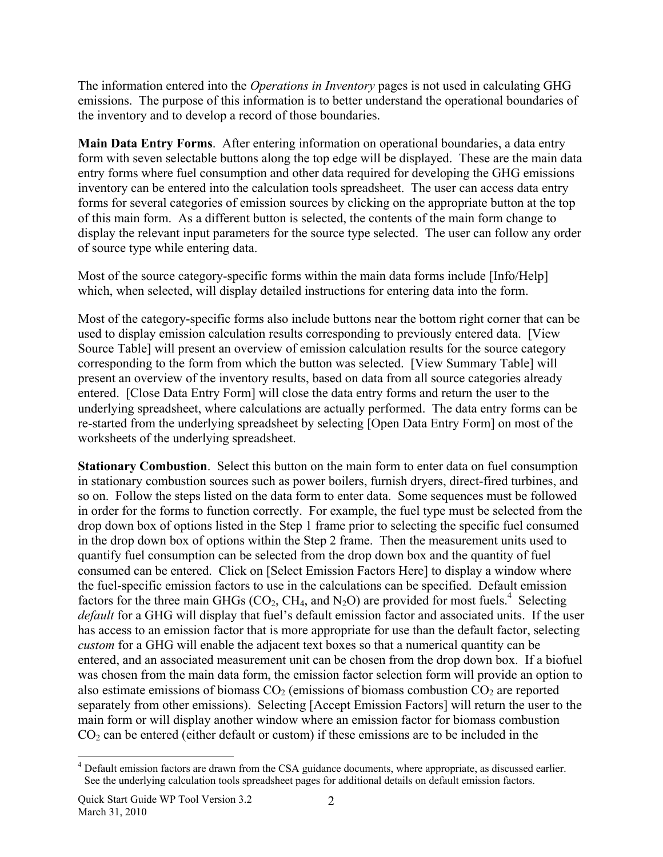The information entered into the *Operations in Inventory* pages is not used in calculating GHG emissions. The purpose of this information is to better understand the operational boundaries of the inventory and to develop a record of those boundaries.

**Main Data Entry Forms**. After entering information on operational boundaries, a data entry form with seven selectable buttons along the top edge will be displayed. These are the main data entry forms where fuel consumption and other data required for developing the GHG emissions inventory can be entered into the calculation tools spreadsheet. The user can access data entry forms for several categories of emission sources by clicking on the appropriate button at the top of this main form. As a different button is selected, the contents of the main form change to display the relevant input parameters for the source type selected. The user can follow any order of source type while entering data.

Most of the source category-specific forms within the main data forms include [Info/Help] which, when selected, will display detailed instructions for entering data into the form.

Most of the category-specific forms also include buttons near the bottom right corner that can be used to display emission calculation results corresponding to previously entered data. [View Source Table] will present an overview of emission calculation results for the source category corresponding to the form from which the button was selected. [View Summary Table] will present an overview of the inventory results, based on data from all source categories already entered. [Close Data Entry Form] will close the data entry forms and return the user to the underlying spreadsheet, where calculations are actually performed. The data entry forms can be re-started from the underlying spreadsheet by selecting [Open Data Entry Form] on most of the worksheets of the underlying spreadsheet.

**Stationary Combustion**. Select this button on the main form to enter data on fuel consumption in stationary combustion sources such as power boilers, furnish dryers, direct-fired turbines, and so on. Follow the steps listed on the data form to enter data. Some sequences must be followed in order for the forms to function correctly. For example, the fuel type must be selected from the drop down box of options listed in the Step 1 frame prior to selecting the specific fuel consumed in the drop down box of options within the Step 2 frame. Then the measurement units used to quantify fuel consumption can be selected from the drop down box and the quantity of fuel consumed can be entered. Click on [Select Emission Factors Here] to display a window where the fuel-specific emission factors to use in the calculations can be specified. Default emission factors for the three main GHGs (CO<sub>2</sub>, CH<sub>4</sub>, and N<sub>2</sub>O) are provided for most fuels.<sup>4</sup> Selecting *default* for a GHG will display that fuel's default emission factor and associated units. If the user has access to an emission factor that is more appropriate for use than the default factor, selecting *custom* for a GHG will enable the adjacent text boxes so that a numerical quantity can be entered, and an associated measurement unit can be chosen from the drop down box. If a biofuel was chosen from the main data form, the emission factor selection form will provide an option to also estimate emissions of biomass  $CO<sub>2</sub>$  (emissions of biomass combustion  $CO<sub>2</sub>$  are reported separately from other emissions). Selecting [Accept Emission Factors] will return the user to the main form or will display another window where an emission factor for biomass combustion  $CO<sub>2</sub>$  can be entered (either default or custom) if these emissions are to be included in the

 $\overline{a}$ <sup>4</sup> Default emission factors are drawn from the CSA guidance documents, where appropriate, as discussed earlier. See the underlying calculation tools spreadsheet pages for additional details on default emission factors.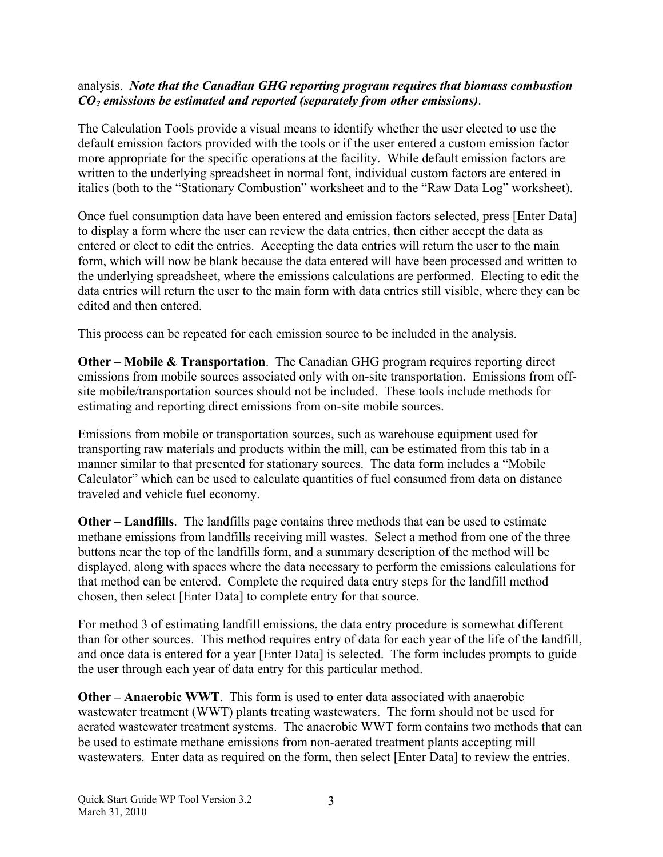## analysis. *Note that the Canadian GHG reporting program requires that biomass combustion CO2 emissions be estimated and reported (separately from other emissions)*.

The Calculation Tools provide a visual means to identify whether the user elected to use the default emission factors provided with the tools or if the user entered a custom emission factor more appropriate for the specific operations at the facility. While default emission factors are written to the underlying spreadsheet in normal font, individual custom factors are entered in italics (both to the "Stationary Combustion" worksheet and to the "Raw Data Log" worksheet).

Once fuel consumption data have been entered and emission factors selected, press [Enter Data] to display a form where the user can review the data entries, then either accept the data as entered or elect to edit the entries. Accepting the data entries will return the user to the main form, which will now be blank because the data entered will have been processed and written to the underlying spreadsheet, where the emissions calculations are performed. Electing to edit the data entries will return the user to the main form with data entries still visible, where they can be edited and then entered.

This process can be repeated for each emission source to be included in the analysis.

**Other – Mobile & Transportation**. The Canadian GHG program requires reporting direct emissions from mobile sources associated only with on-site transportation. Emissions from offsite mobile/transportation sources should not be included. These tools include methods for estimating and reporting direct emissions from on-site mobile sources.

Emissions from mobile or transportation sources, such as warehouse equipment used for transporting raw materials and products within the mill, can be estimated from this tab in a manner similar to that presented for stationary sources. The data form includes a "Mobile Calculator" which can be used to calculate quantities of fuel consumed from data on distance traveled and vehicle fuel economy.

**Other – Landfills**. The landfills page contains three methods that can be used to estimate methane emissions from landfills receiving mill wastes. Select a method from one of the three buttons near the top of the landfills form, and a summary description of the method will be displayed, along with spaces where the data necessary to perform the emissions calculations for that method can be entered. Complete the required data entry steps for the landfill method chosen, then select [Enter Data] to complete entry for that source.

For method 3 of estimating landfill emissions, the data entry procedure is somewhat different than for other sources. This method requires entry of data for each year of the life of the landfill, and once data is entered for a year [Enter Data] is selected. The form includes prompts to guide the user through each year of data entry for this particular method.

**Other – Anaerobic WWT**. This form is used to enter data associated with anaerobic wastewater treatment (WWT) plants treating wastewaters. The form should not be used for aerated wastewater treatment systems. The anaerobic WWT form contains two methods that can be used to estimate methane emissions from non-aerated treatment plants accepting mill wastewaters. Enter data as required on the form, then select [Enter Data] to review the entries.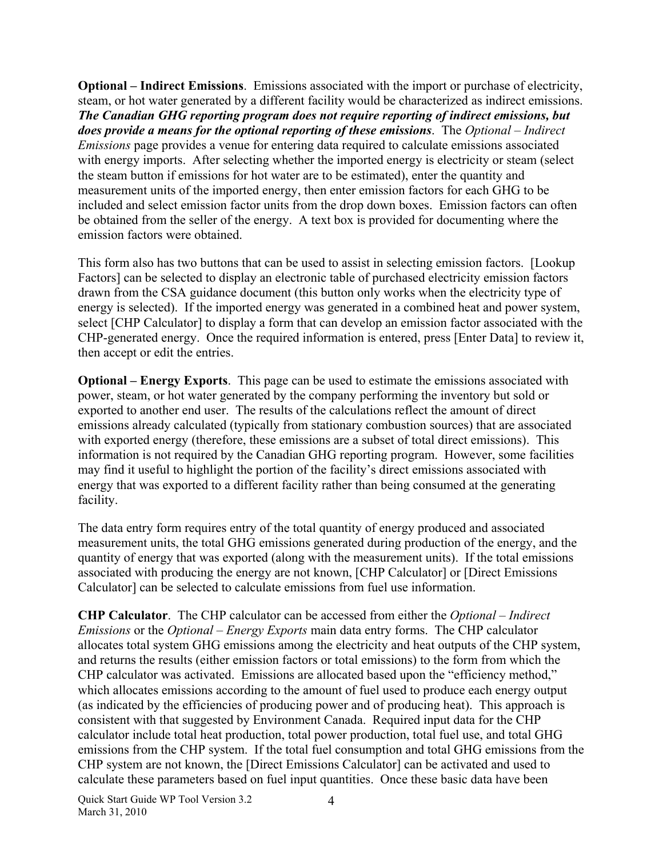**Optional – Indirect Emissions**. Emissions associated with the import or purchase of electricity, steam, or hot water generated by a different facility would be characterized as indirect emissions. *The Canadian GHG reporting program does not require reporting of indirect emissions, but does provide a means for the optional reporting of these emissions*. The *Optional – Indirect Emissions* page provides a venue for entering data required to calculate emissions associated with energy imports. After selecting whether the imported energy is electricity or steam (select the steam button if emissions for hot water are to be estimated), enter the quantity and measurement units of the imported energy, then enter emission factors for each GHG to be included and select emission factor units from the drop down boxes. Emission factors can often be obtained from the seller of the energy. A text box is provided for documenting where the emission factors were obtained.

This form also has two buttons that can be used to assist in selecting emission factors. [Lookup Factors] can be selected to display an electronic table of purchased electricity emission factors drawn from the CSA guidance document (this button only works when the electricity type of energy is selected). If the imported energy was generated in a combined heat and power system, select [CHP Calculator] to display a form that can develop an emission factor associated with the CHP-generated energy. Once the required information is entered, press [Enter Data] to review it, then accept or edit the entries.

**Optional – Energy Exports**. This page can be used to estimate the emissions associated with power, steam, or hot water generated by the company performing the inventory but sold or exported to another end user. The results of the calculations reflect the amount of direct emissions already calculated (typically from stationary combustion sources) that are associated with exported energy (therefore, these emissions are a subset of total direct emissions). This information is not required by the Canadian GHG reporting program. However, some facilities may find it useful to highlight the portion of the facility's direct emissions associated with energy that was exported to a different facility rather than being consumed at the generating facility.

The data entry form requires entry of the total quantity of energy produced and associated measurement units, the total GHG emissions generated during production of the energy, and the quantity of energy that was exported (along with the measurement units). If the total emissions associated with producing the energy are not known, [CHP Calculator] or [Direct Emissions Calculator] can be selected to calculate emissions from fuel use information.

**CHP Calculator**. The CHP calculator can be accessed from either the *Optional – Indirect Emissions* or the *Optional – Energy Exports* main data entry forms. The CHP calculator allocates total system GHG emissions among the electricity and heat outputs of the CHP system, and returns the results (either emission factors or total emissions) to the form from which the CHP calculator was activated. Emissions are allocated based upon the "efficiency method," which allocates emissions according to the amount of fuel used to produce each energy output (as indicated by the efficiencies of producing power and of producing heat). This approach is consistent with that suggested by Environment Canada. Required input data for the CHP calculator include total heat production, total power production, total fuel use, and total GHG emissions from the CHP system. If the total fuel consumption and total GHG emissions from the CHP system are not known, the [Direct Emissions Calculator] can be activated and used to calculate these parameters based on fuel input quantities. Once these basic data have been